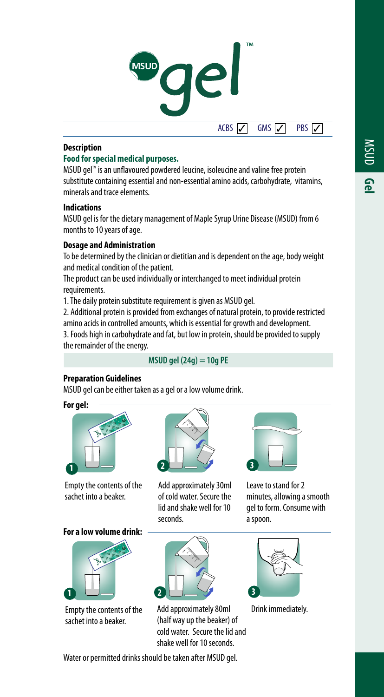



#### **Description**

# **Food for special medical purposes.**

MSUD gel<sup>™</sup> is an unflavoured powdered leucine, isoleucine and valine free protein substitute containing essential and non-essential amino acids, carbohydrate, vitamins, minerals and trace elements.

#### **Indications**

MSUD gel is for the dietary management of Maple Syrup Urine Disease (MSUD) from 6 months to 10 years of age.

#### **Dosage and Administration**

To be determined by the clinician or dietitian and is dependent on the age, body weight and medical condition of the patient.

The product can be used individually or interchanged to meet individual protein requirements.

1. The daily protein substitute requirement is given as MSUD gel.

2. Additional protein is provided from exchanges of natural protein, to provide restricted amino acids in controlled amounts, which is essential for growth and development.

3. Foods high in carbohydrate and fat, but low in protein, should be provided to supply the remainder of the energy.

### **MSUD gel (24g) = 10g PE**

#### **Preparation Guidelines**

MSUD gel can be either taken as a gel or a low volume drink.

**For gel:**

**1**



Empty the contents of the sachet into a beaker.

**For a low volume drink:**

Empty the contents of the sachet into a beaker.

**2**

Add approximately 30ml of cold water. Secure the lid and shake well for 10 seconds.

Add approximately 80ml (half way up the beaker) of cold water. Secure the lid and shake well for 10 seconds.



Leave to stand for 2 minutes, allowing a smooth gel to form. Consume with a spoon.



Drink immediately.

Water or permitted drinks should be taken after MSUD gel.

**2**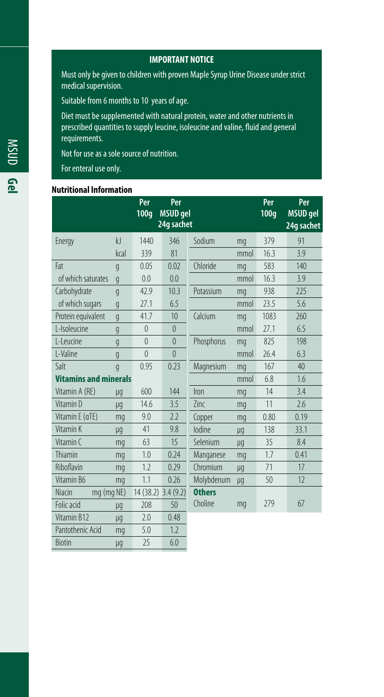**IMPORTANT NOTICE**

Must only be given to children with proven Maple Syrup Urine Disease under strict medical supervision.

Suitable from 6 months to 10 years of age.

Diet must be supplemented with natural protein, water and other nutrients in prescribed quantities to supply leucine, isoleucine and valine, fluid and general requirements.

Not for use as a sole source of nutrition.

For enteral use only.

#### **Nutritional Information**

|                              |                | Per                 | Per             |               |      | Per  | Per             |
|------------------------------|----------------|---------------------|-----------------|---------------|------|------|-----------------|
|                              |                | 100q                | <b>MSUD</b> gel |               |      | 100q | <b>MSUD</b> gel |
|                              |                |                     | 24g sachet      |               |      |      | 24g sachet      |
| Energy                       | kl             | 1440                | 346             | Sodium        | mq   | 379  | 91              |
|                              | kcal           | 339                 | 81              |               | mmol | 16.3 | 3.9             |
| Fat                          | q              | 0.05                | 0.02            | Chloride      | mq   | 583  | 140             |
| of which saturates           | $\mathfrak{g}$ | 0.0                 | 0.0             |               | mmol | 16.3 | 3.9             |
| Carbohydrate                 | q              | 42.9                | 10.3            | Potassium     | mq   | 938  | 225             |
| of which sugars              | g              | 27.1                | 6.5             |               | mmol | 23.5 | 5.6             |
| Protein equivalent           | $\mathfrak{g}$ | 41.7                | 10              | Calcium       | mq   | 1083 | 260             |
| I-Isoleucine                 | q              | $\theta$            | $\mathbf{0}$    |               | mmol | 27.1 | 6.5             |
| I-Leucine                    | g              | $\overline{0}$      | $\theta$        | Phosphorus    | mq   | 825  | 198             |
| L-Valine                     | g              | $\theta$            | $\theta$        |               | mmol | 76.4 | 6.3             |
| Salt                         | q              | 0.95                | 0.23            | Magnesium     | mq   | 167  | 40              |
| <b>Vitamins and minerals</b> |                |                     |                 |               | mmol | 6.8  | 1.6             |
| Vitamin A (RE)               | μg             | 600                 | 144             | Iron          | mq   | 14   | 3.4             |
| Vitamin D                    | μg             | 14.6                | 3.5             | Zinc          | mq   | 11   | 2.6             |
| Vitamin E (aTE)              | mq             | 9.0                 | 2.2             | Copper        | mq   | 0.80 | 0.19            |
| Vitamin K                    | μg             | 41                  | 9.8             | lodine        | μg   | 138  | 33.1            |
| Vitamin C                    | mq             | 63                  | 15              | Selenium      | μg   | 35   | 8.4             |
| Thiamin                      | mq             | 1.0                 | 0.24            | Manganese     | mq   | 1.7  | 0.41            |
| Riboflavin                   | mq             | 1.2                 | 0.29            | Chromium      | μg   | 71   | 17              |
| Vitamin B6                   | mq             | 1.1                 | 0.26            | Molybdenum    | μg   | 50   | 12              |
| Niacin                       | mg (mg NE)     | 14 (38.2) 3.4 (9.2) |                 | <b>Others</b> |      |      |                 |
| Folic acid                   | μg             | 208                 | 50              | Choline       | mq   | 279  | 67              |
| Vitamin B12                  | μg             | 2.0                 | 0.48            |               |      |      |                 |
| Pantothenic Acid             | mg             | 5.0                 | 1.2             |               |      |      |                 |
| <b>Biotin</b>                | μg             | 25                  | 6.0             |               |      |      |                 |